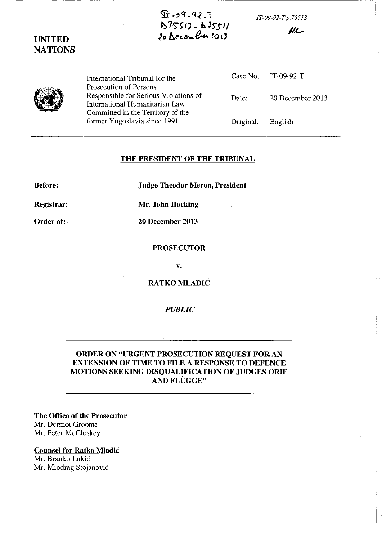*IT-09-92-T* p. 75513



KL



UNITED NATIONS

> International Tribunal for the Prosecution of Persons Responsible for Serious Violations of International Humanitarian Law Committed in the Territory of the fonner Yugoslavia since 1991

|       |                   | Case No. IT-09-92-T |
|-------|-------------------|---------------------|
| Date: |                   | 20 December 2013    |
|       | Original: English |                     |

## THE PRESIDENT OF THE TRIBUNAL

Before: Judge Theodor Meron, President

Registrar: Mr. John Hocking

Order of: 20 December 2013

PROSECUTOR

v.

RATKO MLADIC

*PUBLIC* 

## ORDER ON "URGENT PROSECUTION REQUEST FOR AN EXTENSION OF TIME TO FILE A RESPONSE TO DEFENCE MOTIONS SEEKING DISQUALIFICATION OF JUDGES ORIE AND FLÜGGE"

The Office of the Prosecutor Mr. Dermot Groome Mr. Peter McCloskey

Counsel for Ratko Mladic Mr. Branko Lukic Mr. Miodrag Stojanovic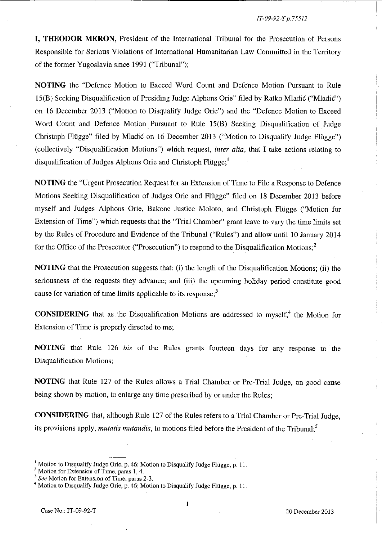**I, THEODOR MERON,** President of the International Tribunal for the Prosecution of Persons Responsible for Serious Violations of International Humanitarian Law Committed in the Territory of the former Yugoslavia since 1991 ("Tribunal");

**NOTING** the "Defence Motion to Exceed Word Count and Defence Motion Pursuant to Rule IS(B) Seeking Disqualification of Presiding Judge Alphons Orie" filed by Ratko Mladic ("MladiC") on 16 December 2013 ("Motion to Disqualify Judge Orie") and the "Defence Motion to Exceed Word Count and Defence Motion Pursuant to Rule IS(B) Seeking Disqualification of Judge Christoph Flügge" filed by Mladić on 16 December 2013 ("Motion to Disqualify Judge Flügge") (collectively "Disqualification Motions") which request, *inter alia,* that I take actions relating to disqualification of Judges Alphons Orie and Christoph Flügge;<sup>1</sup>

**NOTING** the "Urgent Prosecution Request for an Extension of Time to File a Response to Defence Motions Seeking Disqualification of Judges Orie and Flugge" filed on 18 December 2013 before myself and Judges Alphons Orie, Bakone Justice Moloto, and Christoph Flugge ("Motion for Extension of Time") which requests that the "Trial Chamber" grant leave to vary the time limits set by the Rules of Procedure and Evidence of the Tribunal ("Rules") and allow until 10 January 2014 for the Office of the Prosecutor ("Prosecution") to respond to the Disqualification Motions;<sup>2</sup>

**NOTING** that the Prosecution suggests that: (i) the length of the Disqualification Motions; (ii) the seriousness of the requests they advance; and (iii) the upcoming holiday period constitute good cause for variation of time limits applicable to its response; $<sup>3</sup>$ </sup>

**CONSIDERING** that as the Disqualification Motions are addressed to myself,<sup>4</sup> the Motion for Extension of Time is properly directed to me;

**NOTING** that Rule 126 *his* of the Rules grants fourteen days for any response to' the Disqualification Motions;

**NOTING** that Rule 127 of the Rules allows a Trial Chamber or Pre-Trial Judge, on good cause being shown by motion, to enlarge any time prescribed by or under the Rules;

**CONSIDERING** that, although Rule 127 of the Rules refers to a Trial Chamber or Pre-Trial Judge, its provisions apply, *mutatis mutandis*, to motions filed before the President of the Tribunal:<sup>5</sup>

 $\mathbf{1}$ 

Motion to Disqualify Judge Orie, p. 46; Motion to Disqualify Judge Flugge, p. 11.

<sup>&</sup>lt;sup>2</sup> Motion for Extension of Time, paras 1, 4.

<sup>3</sup>*See* **Motion for Extension of Time. paras 2-3.** 

Motion to Disqualify Judge Orie, p. 46; Motion to Disqualify Judge Flügge, p. 11.